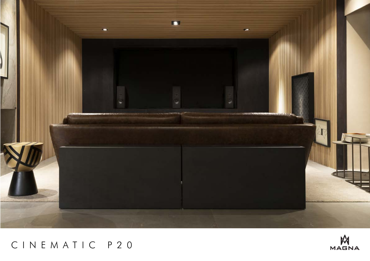

# CINEMATIC P20